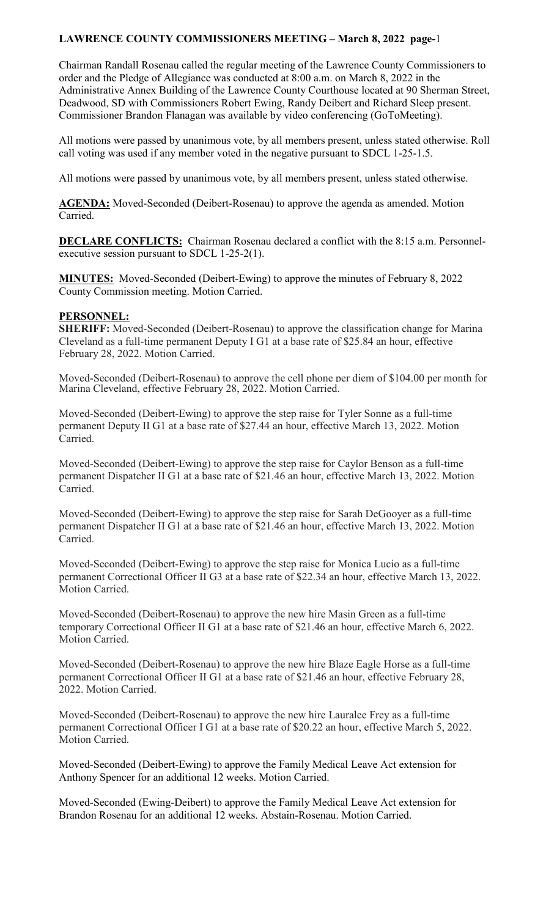Chairman Randall Rosenau called the regular meeting of the Lawrence County Commissioners to order and the Pledge of Allegiance was conducted at 8:00 a.m. on March 8, 2022 in the Administrative Annex Building of the Lawrence County Courthouse located at 90 Sherman Street, Deadwood, SD with Commissioners Robert Ewing, Randy Deibert and Richard Sleep present. Commissioner Brandon Flanagan was available by video conferencing (GoToMeeting).

All motions were passed by unanimous vote, by all members present, unless stated otherwise. Roll call voting was used if any member voted in the negative pursuant to SDCL 1-25-1.5.

All motions were passed by unanimous vote, by all members present, unless stated otherwise.

**AGENDA:** Moved-Seconded (Deibert-Rosenau) to approve the agenda as amended. Motion Carried.

**DECLARE CONFLICTS:** Chairman Rosenau declared a conflict with the 8:15 a.m. Personnelexecutive session pursuant to SDCL 1-25-2(1).

**MINUTES:** Moved-Seconded (Deibert-Ewing) to approve the minutes of February 8, 2022 County Commission meeting. Motion Carried.

#### **PERSONNEL:**

**SHERIFF:** Moved-Seconded (Deibert-Rosenau) to approve the classification change for Marina Cleveland as a full-time permanent Deputy I G1 at a base rate of \$25.84 an hour, effective February 28, 2022. Motion Carried.

Moved-Seconded (Deibert-Rosenau) to approve the cell phone per diem of \$104.00 per month for Marina Cleveland, effective February 28, 2022. Motion Carried.

Moved-Seconded (Deibert-Ewing) to approve the step raise for Tyler Sonne as a full-time permanent Deputy II G1 at a base rate of \$27.44 an hour, effective March 13, 2022. Motion Carried.

Moved-Seconded (Deibert-Ewing) to approve the step raise for Caylor Benson as a full-time permanent Dispatcher II G1 at a base rate of \$21.46 an hour, effective March 13, 2022. Motion Carried.

Moved-Seconded (Deibert-Ewing) to approve the step raise for Sarah DeGooyer as a full-time permanent Dispatcher II G1 at a base rate of \$21.46 an hour, effective March 13, 2022. Motion Carried.

Moved-Seconded (Deibert-Ewing) to approve the step raise for Monica Lucio as a full-time permanent Correctional Officer II G3 at a base rate of \$22.34 an hour, effective March 13, 2022. Motion Carried.

Moved-Seconded (Deibert-Rosenau) to approve the new hire Masin Green as a full-time temporary Correctional Officer II G1 at a base rate of \$21.46 an hour, effective March 6, 2022. Motion Carried.

Moved-Seconded (Deibert-Rosenau) to approve the new hire Blaze Eagle Horse as a full-time permanent Correctional Officer II G1 at a base rate of \$21.46 an hour, effective February 28, 2022. Motion Carried.

Moved-Seconded (Deibert-Rosenau) to approve the new hire Lauralee Frey as a full-time permanent Correctional Officer I G1 at a base rate of \$20.22 an hour, effective March 5, 2022. Motion Carried.

Moved-Seconded (Deibert-Ewing) to approve the Family Medical Leave Act extension for Anthony Spencer for an additional 12 weeks. Motion Carried.

Moved-Seconded (Ewing-Deibert) to approve the Family Medical Leave Act extension for Brandon Rosenau for an additional 12 weeks. Abstain-Rosenau. Motion Carried.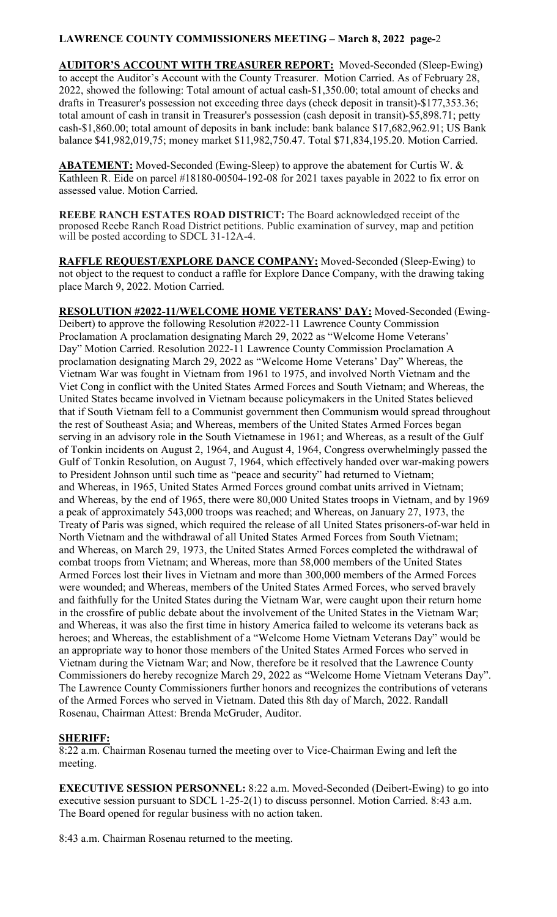**AUDITOR'S ACCOUNT WITH TREASURER REPORT:** Moved-Seconded (Sleep-Ewing) to accept the Auditor's Account with the County Treasurer. Motion Carried. As of February 28, 2022, showed the following: Total amount of actual cash-\$1,350.00; total amount of checks and drafts in Treasurer's possession not exceeding three days (check deposit in transit)-\$177,353.36; total amount of cash in transit in Treasurer's possession (cash deposit in transit)-\$5,898.71; petty cash-\$1,860.00; total amount of deposits in bank include: bank balance \$17,682,962.91; US Bank balance \$41,982,019,75; money market \$11,982,750.47. Total \$71,834,195.20. Motion Carried.

**ABATEMENT:** Moved-Seconded (Ewing-Sleep) to approve the abatement for Curtis W. & Kathleen R. Eide on parcel #18180-00504-192-08 for 2021 taxes payable in 2022 to fix error on assessed value. Motion Carried.

**REEBE RANCH ESTATES ROAD DISTRICT:** The Board acknowledged receipt of the proposed Reebe Ranch Road District petitions. Public examination of survey, map and petition will be posted according to SDCL 31-12A-4.

**RAFFLE REQUEST/EXPLORE DANCE COMPANY:** Moved-Seconded (Sleep-Ewing) to not object to the request to conduct a raffle for Explore Dance Company, with the drawing taking place March 9, 2022. Motion Carried.

**RESOLUTION #2022-11/WELCOME HOME VETERANS' DAY:** Moved-Seconded (Ewing-Deibert) to approve the following Resolution #2022-11 Lawrence County Commission Proclamation A proclamation designating March 29, 2022 as "Welcome Home Veterans' Day" Motion Carried. Resolution 2022-11 Lawrence County Commission Proclamation A proclamation designating March 29, 2022 as "Welcome Home Veterans' Day" Whereas, the Vietnam War was fought in Vietnam from 1961 to 1975, and involved North Vietnam and the Viet Cong in conflict with the United States Armed Forces and South Vietnam; and Whereas, the United States became involved in Vietnam because policymakers in the United States believed that if South Vietnam fell to a Communist government then Communism would spread throughout the rest of Southeast Asia; and Whereas, members of the United States Armed Forces began serving in an advisory role in the South Vietnamese in 1961; and Whereas, as a result of the Gulf of Tonkin incidents on August 2, 1964, and August 4, 1964, Congress overwhelmingly passed the Gulf of Tonkin Resolution, on August 7, 1964, which effectively handed over war-making powers to President Johnson until such time as "peace and security" had returned to Vietnam; and Whereas, in 1965, United States Armed Forces ground combat units arrived in Vietnam; and Whereas, by the end of 1965, there were 80,000 United States troops in Vietnam, and by 1969 a peak of approximately 543,000 troops was reached; and Whereas, on January 27, 1973, the Treaty of Paris was signed, which required the release of all United States prisoners-of-war held in North Vietnam and the withdrawal of all United States Armed Forces from South Vietnam; and Whereas, on March 29, 1973, the United States Armed Forces completed the withdrawal of combat troops from Vietnam; and Whereas, more than 58,000 members of the United States Armed Forces lost their lives in Vietnam and more than 300,000 members of the Armed Forces were wounded; and Whereas, members of the United States Armed Forces, who served bravely and faithfully for the United States during the Vietnam War, were caught upon their return home in the crossfire of public debate about the involvement of the United States in the Vietnam War; and Whereas, it was also the first time in history America failed to welcome its veterans back as heroes; and Whereas, the establishment of a "Welcome Home Vietnam Veterans Day" would be an appropriate way to honor those members of the United States Armed Forces who served in Vietnam during the Vietnam War; and Now, therefore be it resolved that the Lawrence County Commissioners do hereby recognize March 29, 2022 as "Welcome Home Vietnam Veterans Day". The Lawrence County Commissioners further honors and recognizes the contributions of veterans of the Armed Forces who served in Vietnam. Dated this 8th day of March, 2022. Randall Rosenau, Chairman Attest: Brenda McGruder, Auditor.

# **SHERIFF:**

8:22 a.m. Chairman Rosenau turned the meeting over to Vice-Chairman Ewing and left the meeting.

**EXECUTIVE SESSION PERSONNEL:** 8:22 a.m. Moved-Seconded (Deibert-Ewing) to go into executive session pursuant to SDCL 1-25-2(1) to discuss personnel. Motion Carried. 8:43 a.m. The Board opened for regular business with no action taken.

8:43 a.m. Chairman Rosenau returned to the meeting.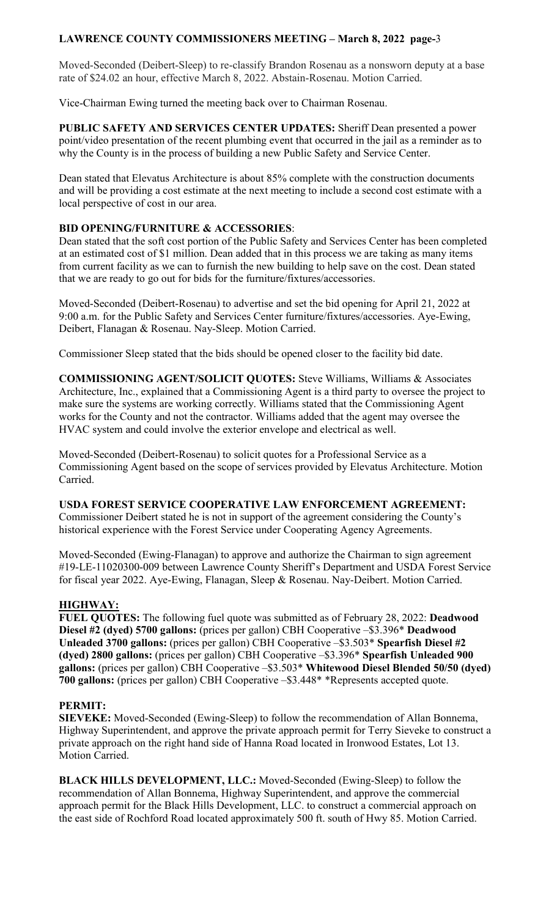Moved-Seconded (Deibert-Sleep) to re-classify Brandon Rosenau as a nonsworn deputy at a base rate of \$24.02 an hour, effective March 8, 2022. Abstain-Rosenau. Motion Carried.

Vice-Chairman Ewing turned the meeting back over to Chairman Rosenau.

**PUBLIC SAFETY AND SERVICES CENTER UPDATES:** Sheriff Dean presented a power point/video presentation of the recent plumbing event that occurred in the jail as a reminder as to why the County is in the process of building a new Public Safety and Service Center.

Dean stated that Elevatus Architecture is about 85% complete with the construction documents and will be providing a cost estimate at the next meeting to include a second cost estimate with a local perspective of cost in our area.

## **BID OPENING/FURNITURE & ACCESSORIES**:

Dean stated that the soft cost portion of the Public Safety and Services Center has been completed at an estimated cost of \$1 million. Dean added that in this process we are taking as many items from current facility as we can to furnish the new building to help save on the cost. Dean stated that we are ready to go out for bids for the furniture/fixtures/accessories.

Moved-Seconded (Deibert-Rosenau) to advertise and set the bid opening for April 21, 2022 at 9:00 a.m. for the Public Safety and Services Center furniture/fixtures/accessories. Aye-Ewing, Deibert, Flanagan & Rosenau. Nay-Sleep. Motion Carried.

Commissioner Sleep stated that the bids should be opened closer to the facility bid date.

**COMMISSIONING AGENT/SOLICIT QUOTES:** Steve Williams, Williams & Associates Architecture, Inc., explained that a Commissioning Agent is a third party to oversee the project to make sure the systems are working correctly. Williams stated that the Commissioning Agent works for the County and not the contractor. Williams added that the agent may oversee the HVAC system and could involve the exterior envelope and electrical as well.

Moved-Seconded (Deibert-Rosenau) to solicit quotes for a Professional Service as a Commissioning Agent based on the scope of services provided by Elevatus Architecture. Motion Carried.

# **USDA FOREST SERVICE COOPERATIVE LAW ENFORCEMENT AGREEMENT:**

Commissioner Deibert stated he is not in support of the agreement considering the County's historical experience with the Forest Service under Cooperating Agency Agreements.

Moved-Seconded (Ewing-Flanagan) to approve and authorize the Chairman to sign agreement #19-LE-11020300-009 between Lawrence County Sheriff's Department and USDA Forest Service for fiscal year 2022. Aye-Ewing, Flanagan, Sleep & Rosenau. Nay-Deibert. Motion Carried.

# **HIGHWAY:**

**FUEL QUOTES:** The following fuel quote was submitted as of February 28, 2022: **Deadwood Diesel #2 (dyed) 5700 gallons:** (prices per gallon) CBH Cooperative –\$3.396\* **Deadwood Unleaded 3700 gallons:** (prices per gallon) CBH Cooperative –\$3.503\* **Spearfish Diesel #2 (dyed) 2800 gallons:** (prices per gallon) CBH Cooperative –\$3.396\* **Spearfish Unleaded 900 gallons:** (prices per gallon) CBH Cooperative –\$3.503\* **Whitewood Diesel Blended 50/50 (dyed) 700 gallons:** (prices per gallon) CBH Cooperative –\$3.448\* \*Represents accepted quote.

### **PERMIT:**

**SIEVEKE:** Moved-Seconded (Ewing-Sleep) to follow the recommendation of Allan Bonnema, Highway Superintendent, and approve the private approach permit for Terry Sieveke to construct a private approach on the right hand side of Hanna Road located in Ironwood Estates, Lot 13. Motion Carried.

**BLACK HILLS DEVELOPMENT, LLC.:** Moved-Seconded (Ewing-Sleep) to follow the recommendation of Allan Bonnema, Highway Superintendent, and approve the commercial approach permit for the Black Hills Development, LLC. to construct a commercial approach on the east side of Rochford Road located approximately 500 ft. south of Hwy 85. Motion Carried.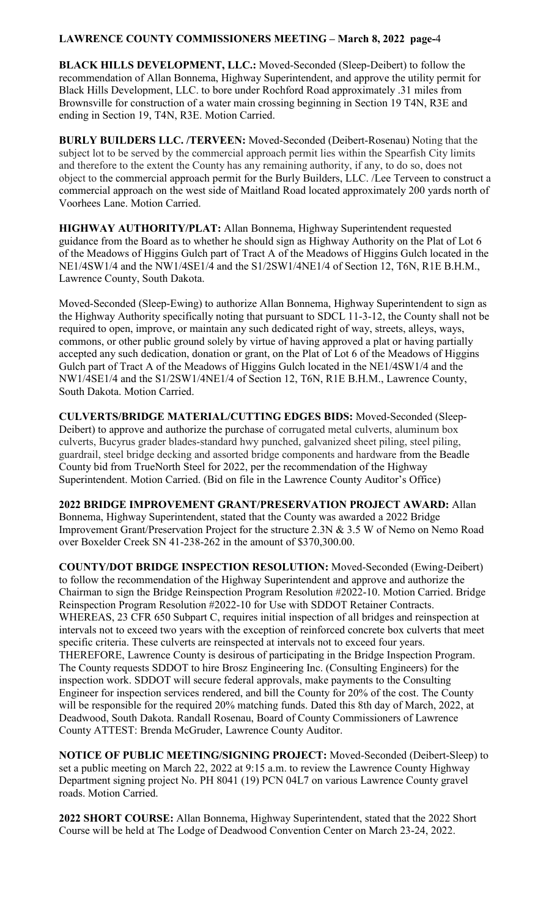**BLACK HILLS DEVELOPMENT, LLC.:** Moved-Seconded (Sleep-Deibert) to follow the recommendation of Allan Bonnema, Highway Superintendent, and approve the utility permit for Black Hills Development, LLC. to bore under Rochford Road approximately .31 miles from Brownsville for construction of a water main crossing beginning in Section 19 T4N, R3E and ending in Section 19, T4N, R3E. Motion Carried.

**BURLY BUILDERS LLC. /TERVEEN:** Moved-Seconded (Deibert-Rosenau) Noting that the subject lot to be served by the commercial approach permit lies within the Spearfish City limits and therefore to the extent the County has any remaining authority, if any, to do so, does not object to the commercial approach permit for the Burly Builders, LLC. /Lee Terveen to construct a commercial approach on the west side of Maitland Road located approximately 200 yards north of Voorhees Lane. Motion Carried.

**HIGHWAY AUTHORITY/PLAT:** Allan Bonnema, Highway Superintendent requested guidance from the Board as to whether he should sign as Highway Authority on the Plat of Lot 6 of the Meadows of Higgins Gulch part of Tract A of the Meadows of Higgins Gulch located in the NE1/4SW1/4 and the NW1/4SE1/4 and the S1/2SW1/4NE1/4 of Section 12, T6N, R1E B.H.M., Lawrence County, South Dakota.

Moved-Seconded (Sleep-Ewing) to authorize Allan Bonnema, Highway Superintendent to sign as the Highway Authority specifically noting that pursuant to SDCL 11-3-12, the County shall not be required to open, improve, or maintain any such dedicated right of way, streets, alleys, ways, commons, or other public ground solely by virtue of having approved a plat or having partially accepted any such dedication, donation or grant, on the Plat of Lot 6 of the Meadows of Higgins Gulch part of Tract A of the Meadows of Higgins Gulch located in the NE1/4SW1/4 and the NW1/4SE1/4 and the S1/2SW1/4NE1/4 of Section 12, T6N, R1E B.H.M., Lawrence County, South Dakota. Motion Carried.

**CULVERTS/BRIDGE MATERIAL/CUTTING EDGES BIDS:** Moved-Seconded (Sleep-Deibert) to approve and authorize the purchase of corrugated metal culverts, aluminum box culverts, Bucyrus grader blades-standard hwy punched, galvanized sheet piling, steel piling, guardrail, steel bridge decking and assorted bridge components and hardware from the Beadle County bid from TrueNorth Steel for 2022, per the recommendation of the Highway Superintendent. Motion Carried. (Bid on file in the Lawrence County Auditor's Office)

**2022 BRIDGE IMPROVEMENT GRANT/PRESERVATION PROJECT AWARD:** Allan Bonnema, Highway Superintendent, stated that the County was awarded a 2022 Bridge Improvement Grant/Preservation Project for the structure 2.3N & 3.5 W of Nemo on Nemo Road over Boxelder Creek SN 41-238-262 in the amount of \$370,300.00.

**COUNTY/DOT BRIDGE INSPECTION RESOLUTION:** Moved-Seconded (Ewing-Deibert) to follow the recommendation of the Highway Superintendent and approve and authorize the Chairman to sign the Bridge Reinspection Program Resolution #2022-10. Motion Carried. Bridge Reinspection Program Resolution #2022-10 for Use with SDDOT Retainer Contracts. WHEREAS, 23 CFR 650 Subpart C, requires initial inspection of all bridges and reinspection at intervals not to exceed two years with the exception of reinforced concrete box culverts that meet specific criteria. These culverts are reinspected at intervals not to exceed four years. THEREFORE, Lawrence County is desirous of participating in the Bridge Inspection Program. The County requests SDDOT to hire Brosz Engineering Inc. (Consulting Engineers) for the inspection work. SDDOT will secure federal approvals, make payments to the Consulting Engineer for inspection services rendered, and bill the County for 20% of the cost. The County will be responsible for the required 20% matching funds. Dated this 8th day of March, 2022, at Deadwood, South Dakota. Randall Rosenau, Board of County Commissioners of Lawrence County ATTEST: Brenda McGruder, Lawrence County Auditor.

**NOTICE OF PUBLIC MEETING/SIGNING PROJECT:** Moved-Seconded (Deibert-Sleep) to set a public meeting on March 22, 2022 at 9:15 a.m. to review the Lawrence County Highway Department signing project No. PH 8041 (19) PCN 04L7 on various Lawrence County gravel roads. Motion Carried.

**2022 SHORT COURSE:** Allan Bonnema, Highway Superintendent, stated that the 2022 Short Course will be held at The Lodge of Deadwood Convention Center on March 23-24, 2022.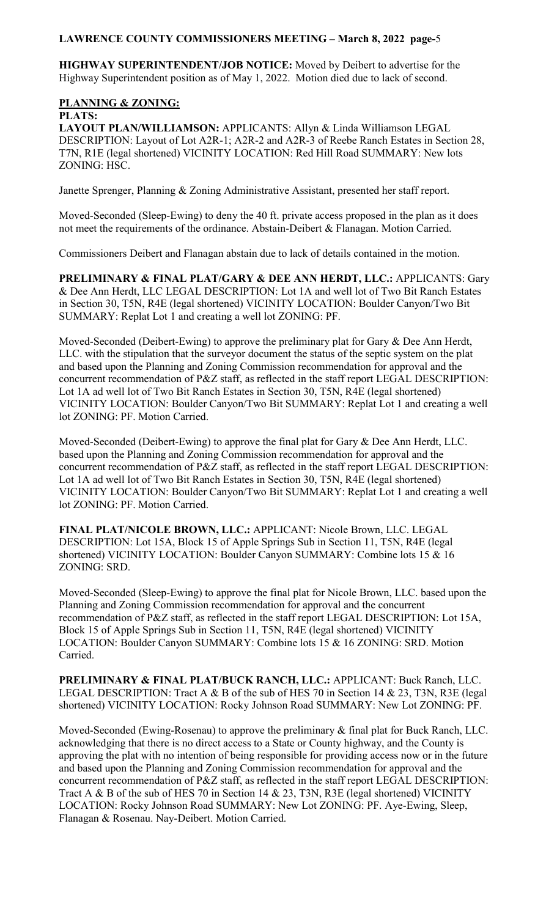**HIGHWAY SUPERINTENDENT/JOB NOTICE:** Moved by Deibert to advertise for the Highway Superintendent position as of May 1, 2022. Motion died due to lack of second.

# **PLANNING & ZONING:**

**PLATS:** 

**LAYOUT PLAN/WILLIAMSON:** APPLICANTS: Allyn & Linda Williamson LEGAL DESCRIPTION: Layout of Lot A2R-1; A2R-2 and A2R-3 of Reebe Ranch Estates in Section 28, T7N, R1E (legal shortened) VICINITY LOCATION: Red Hill Road SUMMARY: New lots ZONING: HSC.

Janette Sprenger, Planning & Zoning Administrative Assistant, presented her staff report.

Moved-Seconded (Sleep-Ewing) to deny the 40 ft. private access proposed in the plan as it does not meet the requirements of the ordinance. Abstain-Deibert & Flanagan. Motion Carried.

Commissioners Deibert and Flanagan abstain due to lack of details contained in the motion.

**PRELIMINARY & FINAL PLAT/GARY & DEE ANN HERDT, LLC.:** APPLICANTS: Gary & Dee Ann Herdt, LLC LEGAL DESCRIPTION: Lot 1A and well lot of Two Bit Ranch Estates in Section 30, T5N, R4E (legal shortened) VICINITY LOCATION: Boulder Canyon/Two Bit SUMMARY: Replat Lot 1 and creating a well lot ZONING: PF.

Moved-Seconded (Deibert-Ewing) to approve the preliminary plat for Gary & Dee Ann Herdt, LLC. with the stipulation that the surveyor document the status of the septic system on the plat and based upon the Planning and Zoning Commission recommendation for approval and the concurrent recommendation of P&Z staff, as reflected in the staff report LEGAL DESCRIPTION: Lot 1A ad well lot of Two Bit Ranch Estates in Section 30, T5N, R4E (legal shortened) VICINITY LOCATION: Boulder Canyon/Two Bit SUMMARY: Replat Lot 1 and creating a well lot ZONING: PF. Motion Carried.

Moved-Seconded (Deibert-Ewing) to approve the final plat for Gary & Dee Ann Herdt, LLC. based upon the Planning and Zoning Commission recommendation for approval and the concurrent recommendation of P&Z staff, as reflected in the staff report LEGAL DESCRIPTION: Lot 1A ad well lot of Two Bit Ranch Estates in Section 30, T5N, R4E (legal shortened) VICINITY LOCATION: Boulder Canyon/Two Bit SUMMARY: Replat Lot 1 and creating a well lot ZONING: PF. Motion Carried.

**FINAL PLAT/NICOLE BROWN, LLC.:** APPLICANT: Nicole Brown, LLC. LEGAL DESCRIPTION: Lot 15A, Block 15 of Apple Springs Sub in Section 11, T5N, R4E (legal shortened) VICINITY LOCATION: Boulder Canyon SUMMARY: Combine lots 15 & 16 ZONING: SRD.

Moved-Seconded (Sleep-Ewing) to approve the final plat for Nicole Brown, LLC. based upon the Planning and Zoning Commission recommendation for approval and the concurrent recommendation of P&Z staff, as reflected in the staff report LEGAL DESCRIPTION: Lot 15A, Block 15 of Apple Springs Sub in Section 11, T5N, R4E (legal shortened) VICINITY LOCATION: Boulder Canyon SUMMARY: Combine lots 15 & 16 ZONING: SRD. Motion Carried.

**PRELIMINARY & FINAL PLAT/BUCK RANCH, LLC.:** APPLICANT: Buck Ranch, LLC. LEGAL DESCRIPTION: Tract A & B of the sub of HES 70 in Section 14 & 23, T3N, R3E (legal shortened) VICINITY LOCATION: Rocky Johnson Road SUMMARY: New Lot ZONING: PF.

Moved-Seconded (Ewing-Rosenau) to approve the preliminary & final plat for Buck Ranch, LLC. acknowledging that there is no direct access to a State or County highway, and the County is approving the plat with no intention of being responsible for providing access now or in the future and based upon the Planning and Zoning Commission recommendation for approval and the concurrent recommendation of P&Z staff, as reflected in the staff report LEGAL DESCRIPTION: Tract A & B of the sub of HES 70 in Section 14 & 23, T3N, R3E (legal shortened) VICINITY LOCATION: Rocky Johnson Road SUMMARY: New Lot ZONING: PF. Aye-Ewing, Sleep, Flanagan & Rosenau. Nay-Deibert. Motion Carried.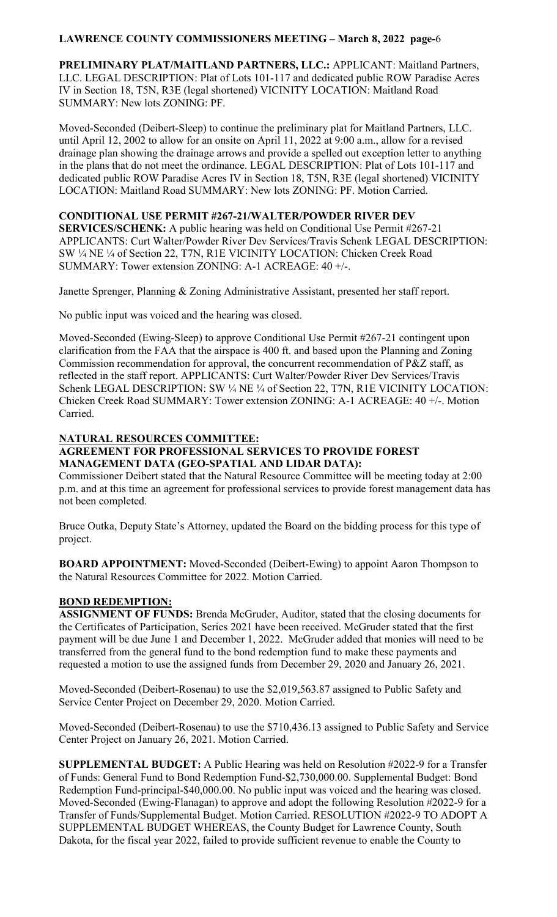**PRELIMINARY PLAT/MAITLAND PARTNERS, LLC.:** APPLICANT: Maitland Partners, LLC. LEGAL DESCRIPTION: Plat of Lots 101-117 and dedicated public ROW Paradise Acres IV in Section 18, T5N, R3E (legal shortened) VICINITY LOCATION: Maitland Road SUMMARY: New lots ZONING: PF.

Moved-Seconded (Deibert-Sleep) to continue the preliminary plat for Maitland Partners, LLC. until April 12, 2002 to allow for an onsite on April 11, 2022 at 9:00 a.m., allow for a revised drainage plan showing the drainage arrows and provide a spelled out exception letter to anything in the plans that do not meet the ordinance. LEGAL DESCRIPTION: Plat of Lots 101-117 and dedicated public ROW Paradise Acres IV in Section 18, T5N, R3E (legal shortened) VICINITY LOCATION: Maitland Road SUMMARY: New lots ZONING: PF. Motion Carried.

## **CONDITIONAL USE PERMIT #267-21/WALTER/POWDER RIVER DEV**

**SERVICES/SCHENK:** A public hearing was held on Conditional Use Permit #267-21 APPLICANTS: Curt Walter/Powder River Dev Services/Travis Schenk LEGAL DESCRIPTION: SW ¼ NE ¼ of Section 22, T7N, R1E VICINITY LOCATION: Chicken Creek Road SUMMARY: Tower extension ZONING: A-1 ACREAGE: 40 +/-.

Janette Sprenger, Planning & Zoning Administrative Assistant, presented her staff report.

No public input was voiced and the hearing was closed.

Moved-Seconded (Ewing-Sleep) to approve Conditional Use Permit #267-21 contingent upon clarification from the FAA that the airspace is 400 ft. and based upon the Planning and Zoning Commission recommendation for approval, the concurrent recommendation of  $P\&Z$  staff, as reflected in the staff report. APPLICANTS: Curt Walter/Powder River Dev Services/Travis Schenk LEGAL DESCRIPTION: SW ¼ NE ¼ of Section 22, T7N, R1E VICINITY LOCATION: Chicken Creek Road SUMMARY: Tower extension ZONING: A-1 ACREAGE: 40 +/-. Motion Carried.

# **NATURAL RESOURCES COMMITTEE:**

## **AGREEMENT FOR PROFESSIONAL SERVICES TO PROVIDE FOREST MANAGEMENT DATA (GEO-SPATIAL AND LIDAR DATA):**

Commissioner Deibert stated that the Natural Resource Committee will be meeting today at 2:00 p.m. and at this time an agreement for professional services to provide forest management data has not been completed.

Bruce Outka, Deputy State's Attorney, updated the Board on the bidding process for this type of project.

**BOARD APPOINTMENT:** Moved-Seconded (Deibert-Ewing) to appoint Aaron Thompson to the Natural Resources Committee for 2022. Motion Carried.

# **BOND REDEMPTION:**

**ASSIGNMENT OF FUNDS:** Brenda McGruder, Auditor, stated that the closing documents for the Certificates of Participation, Series 2021 have been received. McGruder stated that the first payment will be due June 1 and December 1, 2022. McGruder added that monies will need to be transferred from the general fund to the bond redemption fund to make these payments and requested a motion to use the assigned funds from December 29, 2020 and January 26, 2021.

Moved-Seconded (Deibert-Rosenau) to use the \$2,019,563.87 assigned to Public Safety and Service Center Project on December 29, 2020. Motion Carried.

Moved-Seconded (Deibert-Rosenau) to use the \$710,436.13 assigned to Public Safety and Service Center Project on January 26, 2021. Motion Carried.

**SUPPLEMENTAL BUDGET:** A Public Hearing was held on Resolution #2022-9 for a Transfer of Funds: General Fund to Bond Redemption Fund-\$2,730,000.00. Supplemental Budget: Bond Redemption Fund-principal-\$40,000.00. No public input was voiced and the hearing was closed. Moved-Seconded (Ewing-Flanagan) to approve and adopt the following Resolution #2022-9 for a Transfer of Funds/Supplemental Budget. Motion Carried. RESOLUTION #2022-9 TO ADOPT A SUPPLEMENTAL BUDGET WHEREAS, the County Budget for Lawrence County, South Dakota, for the fiscal year 2022, failed to provide sufficient revenue to enable the County to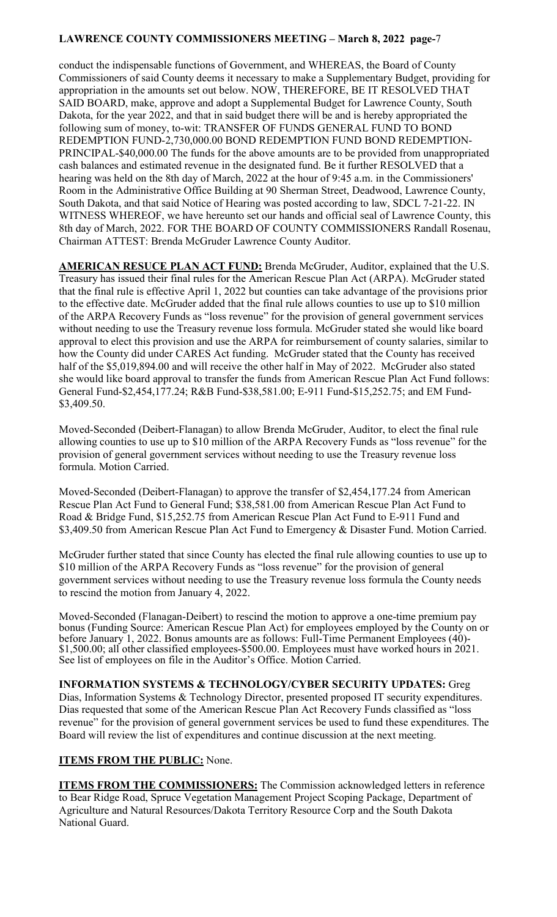conduct the indispensable functions of Government, and WHEREAS, the Board of County Commissioners of said County deems it necessary to make a Supplementary Budget, providing for appropriation in the amounts set out below. NOW, THEREFORE, BE IT RESOLVED THAT SAID BOARD, make, approve and adopt a Supplemental Budget for Lawrence County, South Dakota, for the year 2022, and that in said budget there will be and is hereby appropriated the following sum of money, to-wit: TRANSFER OF FUNDS GENERAL FUND TO BOND REDEMPTION FUND-2,730,000.00 BOND REDEMPTION FUND BOND REDEMPTION-PRINCIPAL-\$40,000.00 The funds for the above amounts are to be provided from unappropriated cash balances and estimated revenue in the designated fund. Be it further RESOLVED that a hearing was held on the 8th day of March, 2022 at the hour of 9:45 a.m. in the Commissioners' Room in the Administrative Office Building at 90 Sherman Street, Deadwood, Lawrence County, South Dakota, and that said Notice of Hearing was posted according to law, SDCL 7-21-22. IN WITNESS WHEREOF, we have hereunto set our hands and official seal of Lawrence County, this 8th day of March, 2022. FOR THE BOARD OF COUNTY COMMISSIONERS Randall Rosenau, Chairman ATTEST: Brenda McGruder Lawrence County Auditor.

**AMERICAN RESUCE PLAN ACT FUND:** Brenda McGruder, Auditor, explained that the U.S. Treasury has issued their final rules for the American Rescue Plan Act (ARPA). McGruder stated that the final rule is effective April 1, 2022 but counties can take advantage of the provisions prior to the effective date. McGruder added that the final rule allows counties to use up to \$10 million of the ARPA Recovery Funds as "loss revenue" for the provision of general government services without needing to use the Treasury revenue loss formula. McGruder stated she would like board approval to elect this provision and use the ARPA for reimbursement of county salaries, similar to how the County did under CARES Act funding. McGruder stated that the County has received half of the \$5,019,894.00 and will receive the other half in May of 2022. McGruder also stated she would like board approval to transfer the funds from American Rescue Plan Act Fund follows: General Fund-\$2,454,177.24; R&B Fund-\$38,581.00; E-911 Fund-\$15,252.75; and EM Fund- \$3,409.50.

Moved-Seconded (Deibert-Flanagan) to allow Brenda McGruder, Auditor, to elect the final rule allowing counties to use up to \$10 million of the ARPA Recovery Funds as "loss revenue" for the provision of general government services without needing to use the Treasury revenue loss formula. Motion Carried.

Moved-Seconded (Deibert-Flanagan) to approve the transfer of \$2,454,177.24 from American Rescue Plan Act Fund to General Fund; \$38,581.00 from American Rescue Plan Act Fund to Road & Bridge Fund, \$15,252.75 from American Rescue Plan Act Fund to E-911 Fund and \$3,409.50 from American Rescue Plan Act Fund to Emergency & Disaster Fund. Motion Carried.

McGruder further stated that since County has elected the final rule allowing counties to use up to \$10 million of the ARPA Recovery Funds as "loss revenue" for the provision of general government services without needing to use the Treasury revenue loss formula the County needs to rescind the motion from January 4, 2022.

Moved-Seconded (Flanagan-Deibert) to rescind the motion to approve a one-time premium pay bonus (Funding Source: American Rescue Plan Act) for employees employed by the County on or before January 1, 2022. Bonus amounts are as follows: Full-Time Permanent Employees (40)- \$1,500.00; all other classified employees-\$500.00. Employees must have worked hours in 2021. See list of employees on file in the Auditor's Office. Motion Carried.

**INFORMATION SYSTEMS & TECHNOLOGY/CYBER SECURITY UPDATES:** Greg Dias, Information Systems & Technology Director, presented proposed IT security expenditures. Dias requested that some of the American Rescue Plan Act Recovery Funds classified as "loss revenue" for the provision of general government services be used to fund these expenditures. The Board will review the list of expenditures and continue discussion at the next meeting.

# **ITEMS FROM THE PUBLIC:** None.

**ITEMS FROM THE COMMISSIONERS:** The Commission acknowledged letters in reference to Bear Ridge Road, Spruce Vegetation Management Project Scoping Package, Department of Agriculture and Natural Resources/Dakota Territory Resource Corp and the South Dakota National Guard.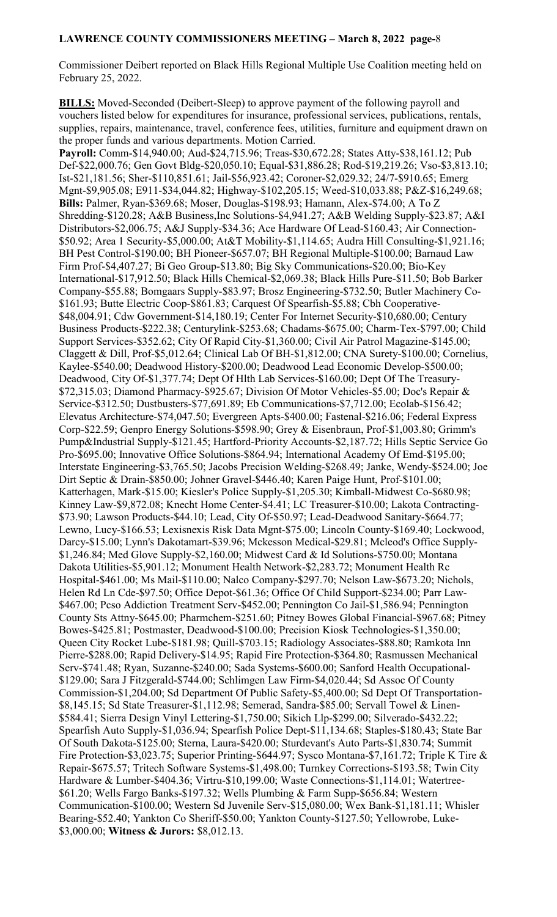Commissioner Deibert reported on Black Hills Regional Multiple Use Coalition meeting held on February 25, 2022.

**BILLS:** Moved-Seconded (Deibert-Sleep) to approve payment of the following payroll and vouchers listed below for expenditures for insurance, professional services, publications, rentals, supplies, repairs, maintenance, travel, conference fees, utilities, furniture and equipment drawn on the proper funds and various departments. Motion Carried.

**Payroll:** Comm-\$14,940.00; Aud-\$24,715.96; Treas-\$30,672.28; States Atty-\$38,161.12; Pub Def-\$22,000.76; Gen Govt Bldg-\$20,050.10; Equal-\$31,886.28; Rod-\$19,219.26; Vso-\$3,813.10; Ist-\$21,181.56; Sher-\$110,851.61; Jail-\$56,923.42; Coroner-\$2,029.32; 24/7-\$910.65; Emerg Mgnt-\$9,905.08; E911-\$34,044.82; Highway-\$102,205.15; Weed-\$10,033.88; P&Z-\$16,249.68; **Bills:** Palmer, Ryan-\$369.68; Moser, Douglas-\$198.93; Hamann, Alex-\$74.00; A To Z Shredding-\$120.28; A&B Business,Inc Solutions-\$4,941.27; A&B Welding Supply-\$23.87; A&I Distributors-\$2,006.75; A&J Supply-\$34.36; Ace Hardware Of Lead-\$160.43; Air Connection- \$50.92; Area 1 Security-\$5,000.00; At&T Mobility-\$1,114.65; Audra Hill Consulting-\$1,921.16; BH Pest Control-\$190.00; BH Pioneer-\$657.07; BH Regional Multiple-\$100.00; Barnaud Law Firm Prof-\$4,407.27; Bi Geo Group-\$13.80; Big Sky Communications-\$20.00; Bio-Key International-\$17,912.50; Black Hills Chemical-\$2,069.38; Black Hills Pure-\$11.50; Bob Barker Company-\$55.88; Bomgaars Supply-\$83.97; Brosz Engineering-\$732.50; Butler Machinery Co- \$161.93; Butte Electric Coop-\$861.83; Carquest Of Spearfish-\$5.88; Cbh Cooperative- \$48,004.91; Cdw Government-\$14,180.19; Center For Internet Security-\$10,680.00; Century Business Products-\$222.38; Centurylink-\$253.68; Chadams-\$675.00; Charm-Tex-\$797.00; Child Support Services-\$352.62; City Of Rapid City-\$1,360.00; Civil Air Patrol Magazine-\$145.00; Claggett & Dill, Prof-\$5,012.64; Clinical Lab Of BH-\$1,812.00; CNA Surety-\$100.00; Cornelius, Kaylee-\$540.00; Deadwood History-\$200.00; Deadwood Lead Economic Develop-\$500.00; Deadwood, City Of-\$1,377.74; Dept Of Hlth Lab Services-\$160.00; Dept Of The Treasury- \$72,315.03; Diamond Pharmacy-\$925.67; Division Of Motor Vehicles-\$5.00; Doc's Repair & Service-\$312.50; Dustbusters-\$77,691.89; Eb Communications-\$7,712.00; Ecolab-\$156.42; Elevatus Architecture-\$74,047.50; Evergreen Apts-\$400.00; Fastenal-\$216.06; Federal Express Corp-\$22.59; Genpro Energy Solutions-\$598.90; Grey & Eisenbraun, Prof-\$1,003.80; Grimm's Pump&Industrial Supply-\$121.45; Hartford-Priority Accounts-\$2,187.72; Hills Septic Service Go Pro-\$695.00; Innovative Office Solutions-\$864.94; International Academy Of Emd-\$195.00; Interstate Engineering-\$3,765.50; Jacobs Precision Welding-\$268.49; Janke, Wendy-\$524.00; Joe Dirt Septic & Drain-\$850.00; Johner Gravel-\$446.40; Karen Paige Hunt, Prof-\$101.00; Katterhagen, Mark-\$15.00; Kiesler's Police Supply-\$1,205.30; Kimball-Midwest Co-\$680.98; Kinney Law-\$9,872.08; Knecht Home Center-\$4.41; LC Treasurer-\$10.00; Lakota Contracting- \$73.90; Lawson Products-\$44.10; Lead, City Of-\$50.97; Lead-Deadwood Sanitary-\$664.77; Lewno, Lucy-\$166.53; Lexisnexis Risk Data Mgnt-\$75.00; Lincoln County-\$169.40; Lockwood, Darcy-\$15.00; Lynn's Dakotamart-\$39.96; Mckesson Medical-\$29.81; Mcleod's Office Supply- \$1,246.84; Med Glove Supply-\$2,160.00; Midwest Card & Id Solutions-\$750.00; Montana Dakota Utilities-\$5,901.12; Monument Health Network-\$2,283.72; Monument Health Rc Hospital-\$461.00; Ms Mail-\$110.00; Nalco Company-\$297.70; Nelson Law-\$673.20; Nichols, Helen Rd Ln Cde-\$97.50; Office Depot-\$61.36; Office Of Child Support-\$234.00; Parr Law- \$467.00; Pcso Addiction Treatment Serv-\$452.00; Pennington Co Jail-\$1,586.94; Pennington County Sts Attny-\$645.00; Pharmchem-\$251.60; Pitney Bowes Global Financial-\$967.68; Pitney Bowes-\$425.81; Postmaster, Deadwood-\$100.00; Precision Kiosk Technologies-\$1,350.00; Queen City Rocket Lube-\$181.98; Quill-\$703.15; Radiology Associates-\$88.80; Ramkota Inn Pierre-\$288.00; Rapid Delivery-\$14.95; Rapid Fire Protection-\$364.80; Rasmussen Mechanical Serv-\$741.48; Ryan, Suzanne-\$240.00; Sada Systems-\$600.00; Sanford Health Occupational- \$129.00; Sara J Fitzgerald-\$744.00; Schlimgen Law Firm-\$4,020.44; Sd Assoc Of County Commission-\$1,204.00; Sd Department Of Public Safety-\$5,400.00; Sd Dept Of Transportation- \$8,145.15; Sd State Treasurer-\$1,112.98; Semerad, Sandra-\$85.00; Servall Towel & Linen- \$584.41; Sierra Design Vinyl Lettering-\$1,750.00; Sikich Llp-\$299.00; Silverado-\$432.22; Spearfish Auto Supply-\$1,036.94; Spearfish Police Dept-\$11,134.68; Staples-\$180.43; State Bar Of South Dakota-\$125.00; Sterna, Laura-\$420.00; Sturdevant's Auto Parts-\$1,830.74; Summit Fire Protection-\$3,023.75; Superior Printing-\$644.97; Sysco Montana-\$7,161.72; Triple K Tire & Repair-\$675.57; Tritech Software Systems-\$1,498.00; Turnkey Corrections-\$193.58; Twin City Hardware & Lumber-\$404.36; Virtru-\$10,199.00; Waste Connections-\$1,114.01; Watertree- \$61.20; Wells Fargo Banks-\$197.32; Wells Plumbing & Farm Supp-\$656.84; Western Communication-\$100.00; Western Sd Juvenile Serv-\$15,080.00; Wex Bank-\$1,181.11; Whisler Bearing-\$52.40; Yankton Co Sheriff-\$50.00; Yankton County-\$127.50; Yellowrobe, Luke- \$3,000.00; **Witness & Jurors:** \$8,012.13.